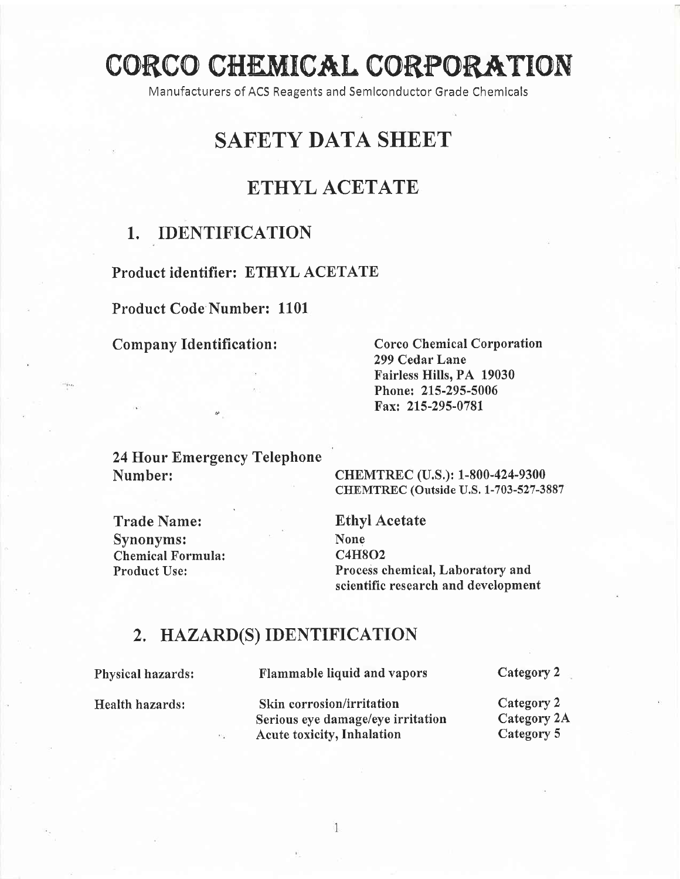# CORCC CHEMIOAL EORPORATTON

Manufacturers of ACS Reagents and Semlconductor Grade Chemlcals

## SAFETY DATA SHEET

## ETHYL ACETATE

#### 1.. IDENTIFICATION

Product identifier: ETHYL ACETATE

Product Code Number: 1101

Company Identification :

Corco Chemical Corporation 299 Cedar Lane Fairless Hills, PA 19030 Phone: 215-295-5006 Fax: 215-295-0781

24 Hour Emergency Telephone Number:

CHEMTREC (U.S.): 1-800-424-9300 CHEMTREC (Outside U.S. 1-703-527-3887)

Trade Name: Synonyms: Chemical Formula: Product Use:

Ethyl Acetate None c4H8o2 Process chemical, Laboratory and scientific research and development

#### 2, HAZARD(S) IDENTIFICATION

Physical hazards:

Flammable liquid and vapors

Health hazards:

Skin corrosion/irritation

Category 2

Serious eye damage/eye irritation Acute toxicity, Inhalation Category 2 Category 2A Category 5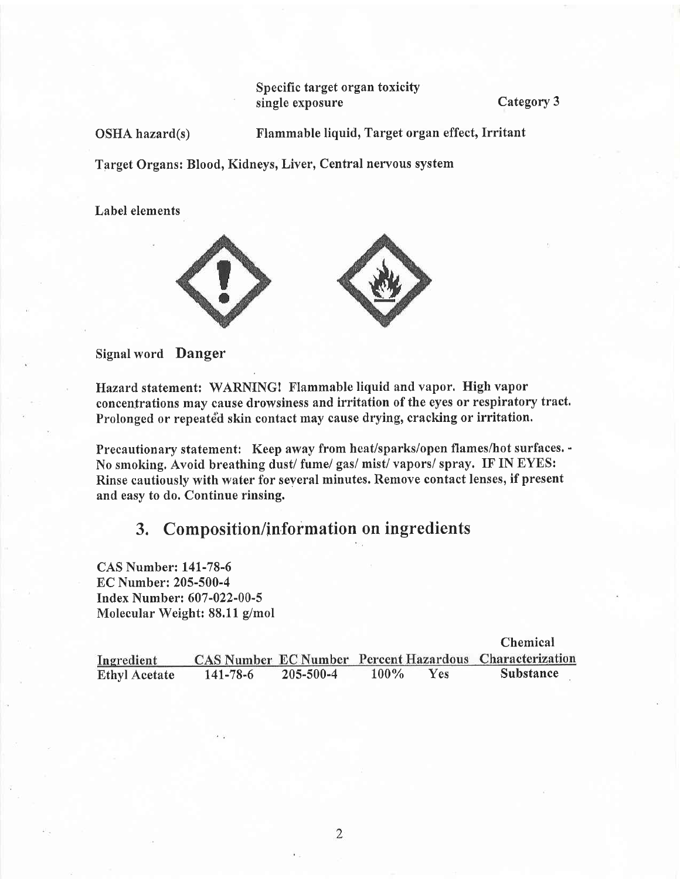Specific target organ toxicity single exposure Category 3

OSHA hazard(s) Flammable liquid, Target organ effect, Irritant

Target Organs: Blood, Kidneys, Liver, Central nervous system

Label elements



Signal word Danger

Hazard statement: WARNING! Flammable liquid and vapor. High vapor concentrations may cause drowsiness and irritation of the eyes or respiratory tract, Prolonged or repeated skin contact may cause drying, cracking or irritation.

Precautionary statement: Keep away from heat/sparks/open flames/hot surfaces. - No smoking. Avoid breathing dust/ fume/ gas/ mist/ vapors/ spray. IF IN EYES: Rinse cautiously with water for several minutes. Remove contact lenses, if present and easy to do. Continue rinsing.

## 3. Composition/information on ingredients

CAS Number: L41-78-6 EC Number: 205-500-4 Index Number: 607 -022-00-5 Molecular Weight: 88.11 g/mol

|                      |                |                 |         |            | <b>Chemical</b>                                                |
|----------------------|----------------|-----------------|---------|------------|----------------------------------------------------------------|
| Ingredient           |                |                 |         |            | <b>CAS Number EC Number Percent Hazardous Characterization</b> |
| <b>Ethyl Acetate</b> | $141 - 78 - 6$ | $205 - 500 - 4$ | $100\%$ | <b>Yes</b> | <b>Substance</b>                                               |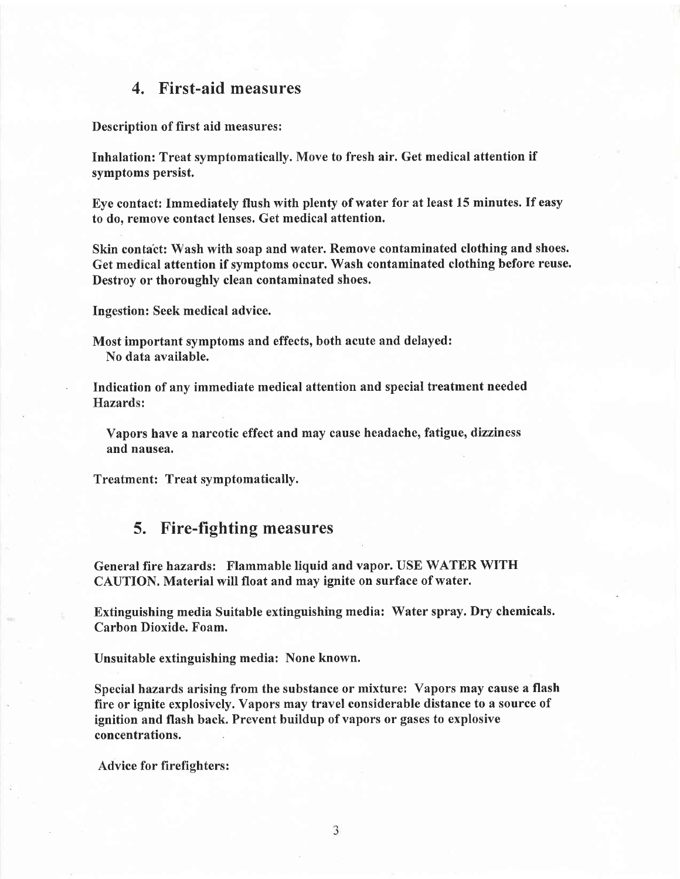#### 4. First-aid measures

Description of first aid measures:

Inhalation: Treat symptomatically. Move to fresh air. Get medical attention if symptoms persist.

Eye contact: Immediately flush with plenty of water for at least 15 minutes. If easy to do, remoye contact lenses. Get medical attention.

Skin contact: Wash with soap and water. Remove contaminated clothing and shoes. Get medical attention if symptoms occur. Wash contaminated clothing before reuse. Destroy or thoroughly clean contaminated shoes.

Ingestion: Seek medical advice.

Most important symptoms and effects, both acute and delayed: No data available.

. Indication of any immediate medical attention and special treatment needed Hazards:

Vapors have a narcotic effect and may cause headache, fatigue, dizziness and nausea.

Treatment: Treat symptomatically.

#### 5. Fire-fighting measures

General fire hazards: Flammable liquid and vapor. USE WATER WITH CAUTION. Material will float and may ignite on surface of water.

Extinguishing media Suitable extinguishing media: Water spray. Dry chemicals. Carbon Dioxide. Foam.

Unsuitable extinguishing media: None known.

Special hazards arising from the substance or mixture: Vapors may cause a flash fire or ignite explosively. Vapors may travel considerable distance to a source of ignition and flash back. Prevent buildup of vapors or gases to explosive concentrations.

Advice for firefighters: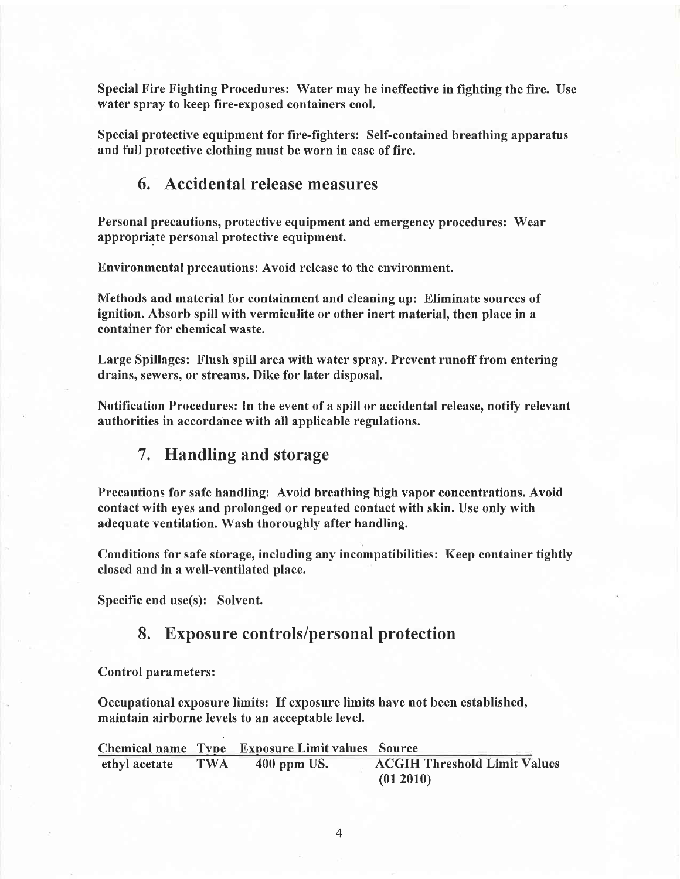Special Fire Fighting Procedures: Water may be ineffective in fighting the fire. Use water spray to keep fire-exposed containers cool.

Special protective equipment for fire-fighters: Self-contained breathing apparatus and full protective clothing must be worn in case of fire.

#### 6. Accidental release measures

Personal precautions, protective equipment and emergency procedures: Wear appropriate personal protective equipment.

Environmental precautions: Avoid release to the environment.

Methods and material for containment and cleaning up: Eliminate sources of ignition. Absorb spill with vermiculite or other inert material, then place in a container for chemical waste.

Large Spillages: Flush spill area with water spray. Prevent runoff from entering drains, sewers, or streams. Dike for later disposal.

Notification Procedures: In the event of a spill or accidental release, notify relevanf authorities in accordahcc with all applicable regulations.

#### 7. Handling and storage

Precautions for safe handling: Avoid breathing high vapor concentrations. Avoid contact with eyes and prolonged or repeated contact with skin. Use only with adequate ventilation. Wash thoroughly after handling.

Conditions for safe storage, including any incompatibilities: Keep container tightly closed and in a well-ventilated place.

Specific end use(s): Solvent.

#### 8. Exposure controls/personal protection

Control parameters:

Occupational exposure limits: If exposure limits have not been established, maintain airborne levels to an acceptable level.

Chemical name Type Exposure Limit values Source ethyl acetate TWA 400 ppm US. ACGIH Threshold Limit Values (01 2010)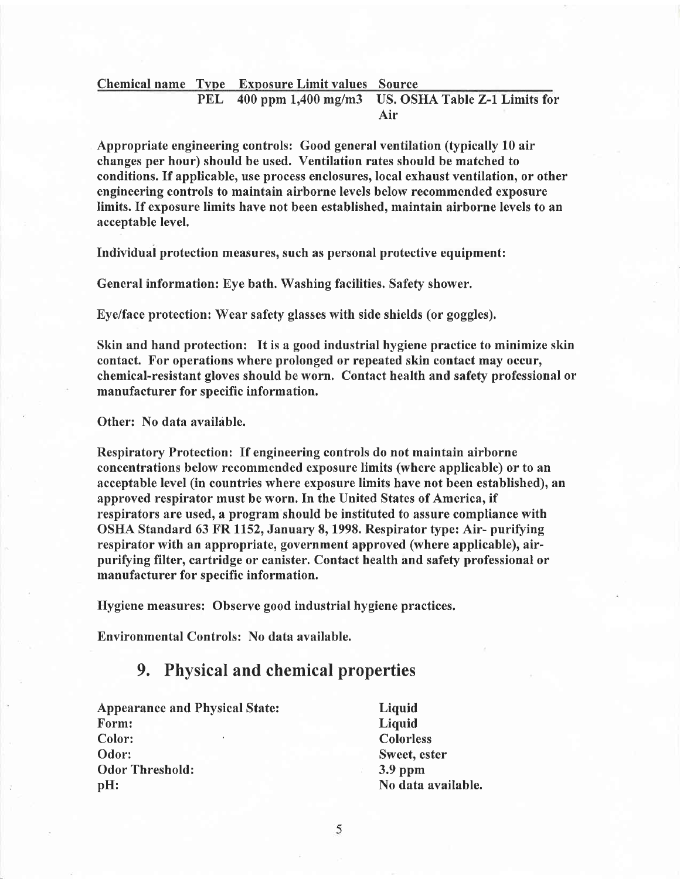#### Chemical name Type Exposure Limit values Source<br>PEL 400 ppm 1,400 mg/m3 US. OS! US. OSHA Table Z-1 Limits for Air

Appropriate engineering controls: Good general ventilation (typically 10 air changes per hour) should be used. Ventilation rates should be matched to conditions. If applicable, use process enclosures, local exhaust ventilation, or other engineering controls to maintain airborne levels below recommended exposure limits. If exposure limits have not been established, maintain airborne levels to an acceptable level.

Individual protection measures, such as personal protective equipment:

General information: Eye bath. Washing facilities. Safety shower.

Eye/face protection: Wear safety glasses with side shields (or goggles).

Skin and hand protection: It is a good industrial hygiene practice to minimize skin contact. For operations where prolonged or repeated skin contact may occur, chemical-resistant gloves should be worn. Contact health and safety professional or manufacturer for specific information.

Other: No data available.

Respiratory Protection: If engineering controls do not maintain airborne concentrations below recommended exposure limits (where applicable) or to an acceptable level (in countries where exposure limits have not been established), an approved respirator must be worn. In the United States of America, if respirators are used, a program should be instituted to assure compliance with OSHA Standard 63 FR 1152, January 8, 1998. Respirator type: Air- purifying respirator with an appropriate, government approved (where applicable), airpurifying filter, cartridge or canister. Contact health and safety professional or manufacturer for specific information.

Hygiene measures: Observc good industrial hygiene practices.

Environmental Controls: No data available.

### 9, Physical and chemical properties

Appearance and Physical State: Form: Color: Odor: Odor Threshold: pH:

Liquid Liquid Colorless Sweet, ester 3.9 ppm No data available.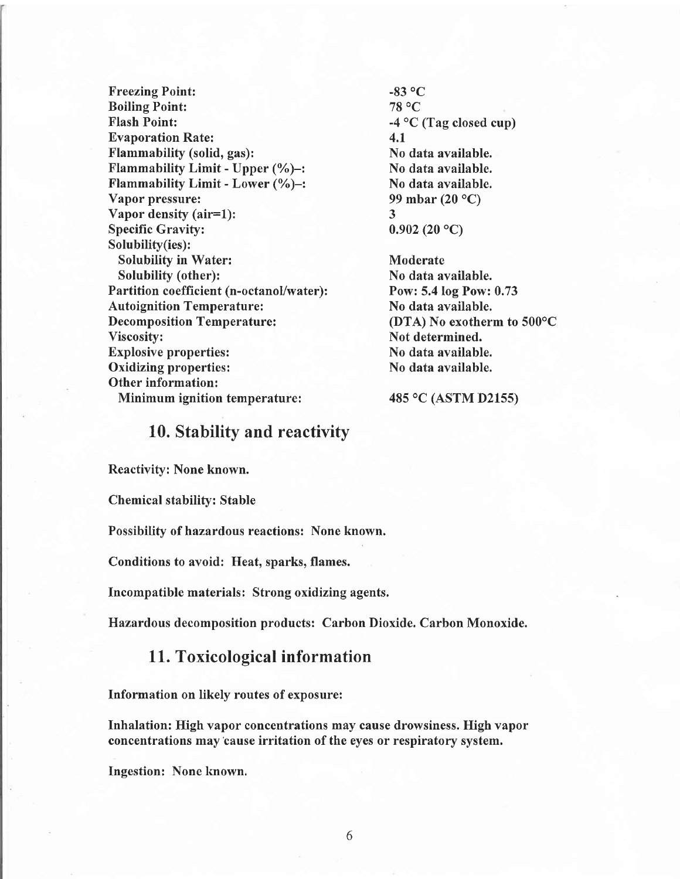Freezing Point: Boiling Point: Flash Point: Evaporation Rate: Flammability (solid, gas): Flammability Limit - Upper (%)-t Flammability Limit - Lower (%)-: Vapor pressure: Vapor density (air=l): Specific Gravity: Solubilify(ies): Solubility in Water: Solubility (other): Partition coefficient (n-octanol/water): **Autoignition Temperature:** Decomposition Temperature: Viscosity: Explosive properties: Oxidizing properties: Other information: Minimum ignition temperature:

 $-83$  °C 78 0C  $-4$  °C (Tag closed cup) 4.1 No data available. No data available. No data available. 99 mbar (20 °C) J  $0.902(20 °C)$ 

**Moderate** No data available. Pow: 5.4 log Pow: 0.73 No data available. (DTA) No exotherm to  $500^{\circ}$ C Not determined. No data available. No data available.

485 °C (ASTM D2155)

#### 10. Stability and reactivity

Reactivity: None known.

Chemical stability: Stable

Possibility of hazardous reactions: None known.

Conditions to avoid: Heat, sparks, flames.

Incompatible materials: Strong oxidizing agents.

Hazardous decomposition products: Carbon Dioxide. Carbon Monoxide.

#### <sup>1</sup>1. Toxicological information

Information on likely routes of exposure:

Inhalation: High vapor concentrations may cause drowsiness. High vapor concentrations may'cause irritation of the eyes or respiratory system.

Ingestion: None known.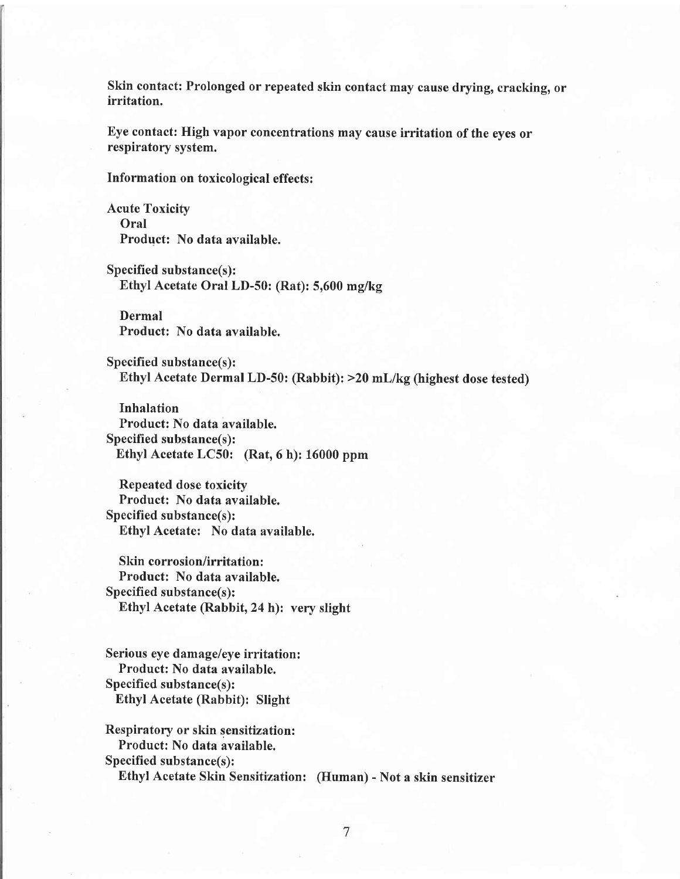Skin contact: Prolonged or repeated skin contact may cause drying, cracking, or irritation.

Eye contact: High vapor concentrations may cause irritation of the eyes or respiratory system.

Information on toxicological effects :

Acute Toxicity Oral Product: No data available.

Specified substance(s): Ethyl Acetate Oral LD-50: (Rat): 5,600 mg/kg

Dermal Product: No data available.

Specified substance(s): Ethyl Acetate Dermal LD-50: (Rabbit): >20 mLlkg(highest dose tested)

Inhalation Product: No data available. Specified substance(s): Ethyl Acetate LC50: (Rat, 6 h): 16000 ppm

Repeated dose toxicity Product: No data available. Specified substance(s): Ethyl Acetate: No data available.

Skin corrosion/irritation: Product: No data available.  $Specified substance(s)$ : Ethyl Acetate (Rabbit, 24 h): very slight

Serious eye damage/eye irritation: Product: No data available. Specified substance(s): Ethyl Acetate (Rabbit): Slight

Respiratory or skin sensitization: Product: No data available. Specified substance(s): Ethyl Acetate Skin Sensitization: (Human) - Not a skin sensitizer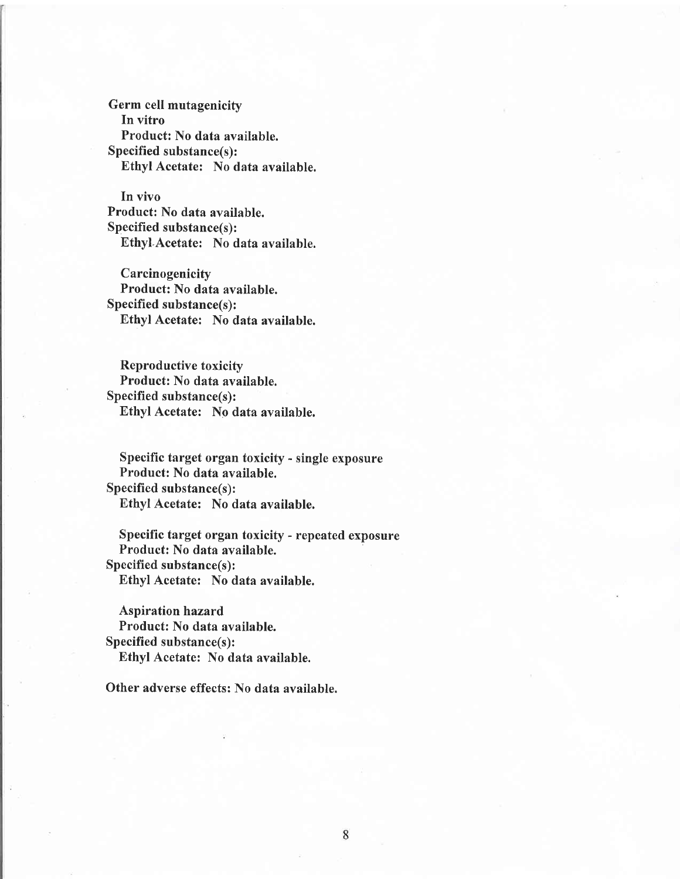Germ cell mutagenicity In vitro Product: No data available. Specified substance(s): Ethyl Acetate: No data available.

In vivo Product: No data available. Specified substance(s): Ethyl.Acetate: No data available.

**Carcinogenicity** Product: No data available. Specified substance(s): Ethyl Acetate: No data available.

Reproductive toxicity Product: No data available. Specified substance(s): Ethyl Acetate: No data available.

Specific target organ toxicity - single exposure Product: No data available. Specified substance(s): Ethyl Acetate: No data available.

Specific target organ toxicity - repeated exposure Product: No data available. Specified substance(s): Ethyl Acetate: No data available.

Aspiration hazard Product: No data available. Specified substance(s): Ethyl Acetate: No data available.

Other adverse effects: No data available.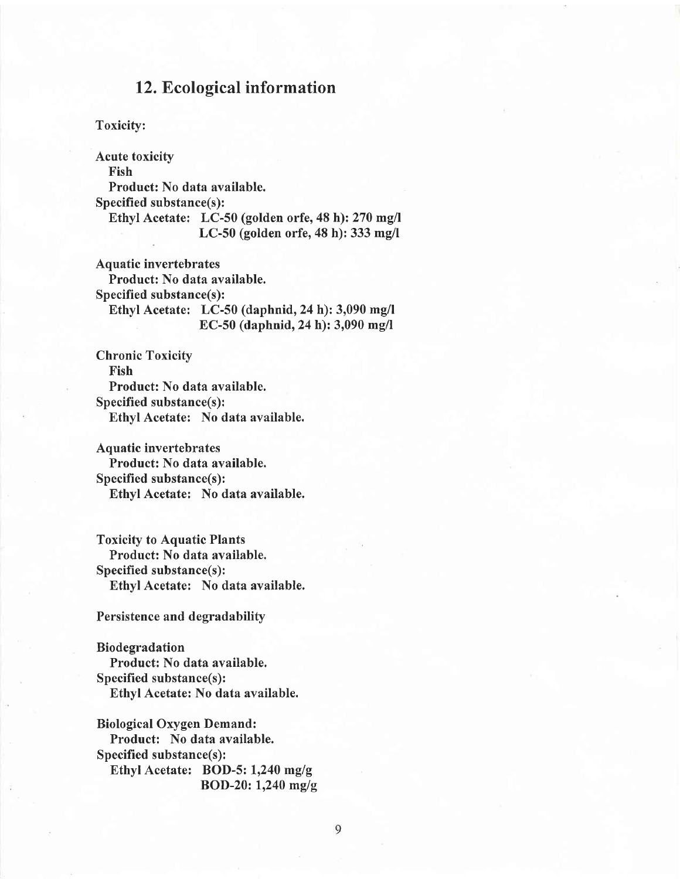#### 12. Ecological information

Toxicity:

Acute toxicity Fish Product: No data available. Specified substance(s): Ethyl Acetate: LC-50 (golden orfe, 48 h): 270 mg/l LC-50 (golden orfe,48 h): 333 mg/l

Aquatic invertebrates Product: No data available. Specified substance(s): Ethyl Acetate: LC-50 (daphnid, 24 h):  $3,090$  mg/l EC-50 (daphnid, 24 h):  $3,090$  mg/l

Chronic Toxicity Fish Product: No data available. Specified substance(s): Ethyl Acetate: No data available.

Aquatic invertebrates Product: No data available. Specified substance(s): Ethyl Acetate: No data available.

Toxicity to Aquatic Plants Product: No data available. Specified substance(s): Ethyl Acetate: No data available.

#### Persistence and degradability

Biodegradation Product: No data available. Specified substance(s): Ethyl Acetate: No data available.

Biological Oxygen Demand: Product: No data available. Specified substance(s): Ethyl Acetate: BOD-5:  $1,240$  mg/g BOD-20:  $1,240$  mg/g

9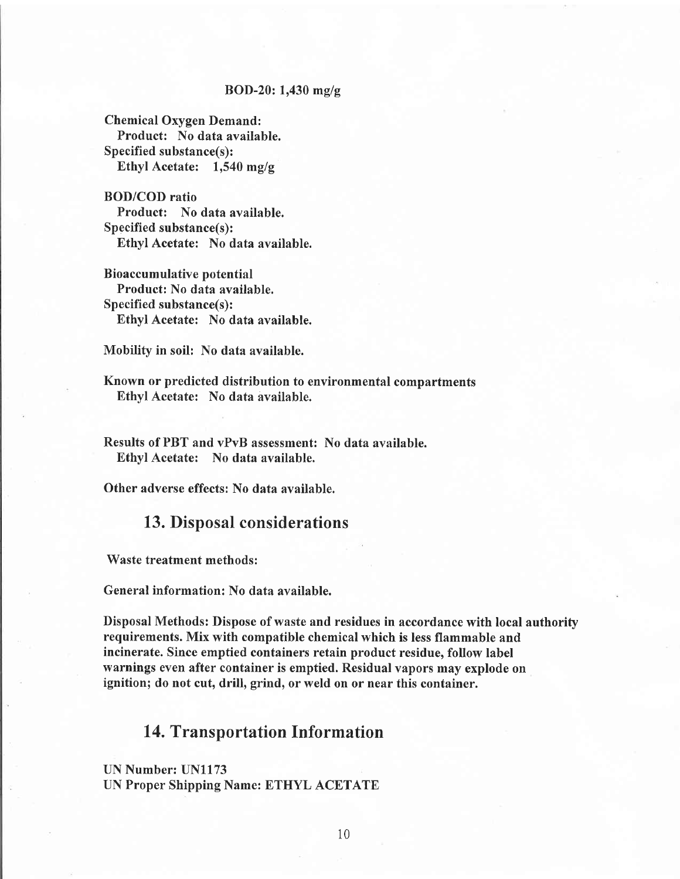#### BOD-20:  $1,430$  mg/g

Chemical Oxygen Demand: Product: No data available. Specified substance(s): Ethyl Acetate:  $1,540$  mg/g

BOD/COD ratio Product: No data available. Specified substance(s): Ethyl Acetate: No data available.

Bioaccumulative potential Product: No data available.  $Specified substance(s)$ : Ethyl Acetate: No data available.

Mobility in soil: No data available.

Known or predicted distribution to environmental compartments Ethyl Acetate: No data available.

Results of PBT and vPvB assessment: No data available. Ethyl Acetate: No data available.

Other adverse effects: No data available.

#### 13. Disposal considerations

Waste treatment methods:

General information: No data available.

Disposal Methods: Dispose of waste and residues in accordance with local authority requirements. Mix with compatible chemical which is less flammable and incinerate. Since emptied containers retain product residue, follow label warnings even after container is emptied. Residual vapors may explode on ignition; do not cut, drill, grind, or weld on or near this container.

#### 14. Transportation Information

UN Number: UN1173 UN Proper Shipping Name: ETHYL ACETATE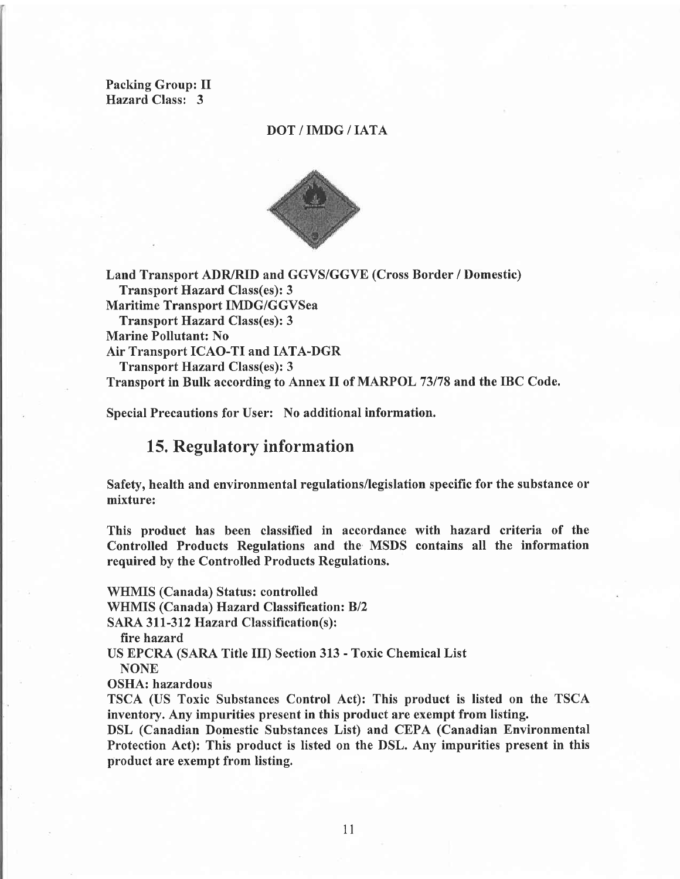Packing Group: II Hazard Class: 3

#### DOT/IMDG/IATA



Land Transport ADR/RID and GGVS/GGVE (Cross Border / Domestic) Transport Hazard Class(es): 3 Maritime Transport IMDG/GGVSea Transport Hazard Class(es): 3 Marine Pollutant: No Air Transport ICAO-TI and IATA-DGR Transport Hazard Class(es): 3 Transport in Bulk according to Annex II of MARPOL 73178 and the IBC Code.

Special Precautions for User: No additional information.

#### 15. Regulatory information

Safety, health and environmental regulations/legislation specific for the substance or mixture:

This product has been classified in accordance with hazard criteria of the Controlled Products Regulations and the MSDS contains all the information required by the Controlled Products Regulations.

WHMIS (Canada) Status: controlled WHMIS (Canada) Hazard Classification: Bl2 SARA 311-312 Hazard Classification(s): fire hazard US EPCRA (SARA Title III) Section 313 - Toxic Chemical List NONE OSHA: hazardous TSCA (US Toxic Substances Control Act): This product is listed on the TSCA

inventory. Any impurities present in this product are exempt from listing. DSL (Canadian Domestic Substances List) and CEPA (Canadian Environmental Protection Act): This product is listed on the DSL. Any impurities present in this product are exempt from listing.